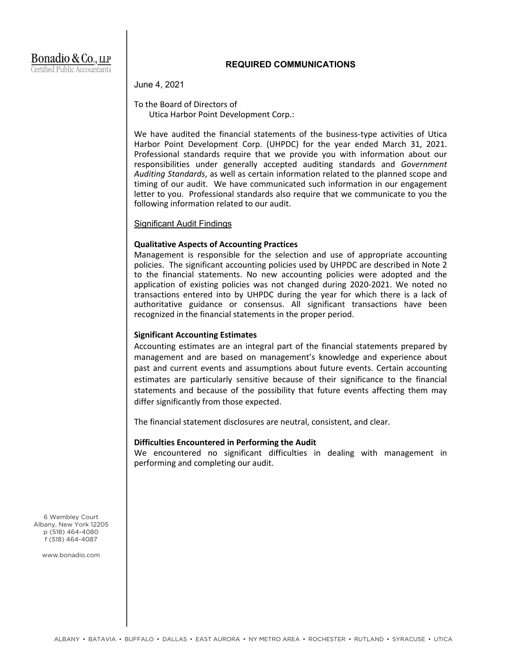## **REQUIRED COMMUNICATIONS**

June 4, 2021

To the Board of Directors of Utica Harbor Point Development Corp.:

We have audited the financial statements of the business-type activities of Utica Harbor Point Development Corp. (UHPDC) for the year ended March 31, 2021. Professional standards require that we provide you with information about our responsibilities under generally accepted auditing standards and *Government Auditing Standards*, as well as certain information related to the planned scope and timing of our audit. We have communicated such information in our engagement letter to you. Professional standards also require that we communicate to you the following information related to our audit.

### Significant Audit Findings

### **Qualitative Aspects of Accounting Practices**

Management is responsible for the selection and use of appropriate accounting policies. The significant accounting policies used by UHPDC are described in Note 2 to the financial statements. No new accounting policies were adopted and the application of existing policies was not changed during 2020-2021. We noted no transactions entered into by UHPDC during the year for which there is a lack of authoritative guidance or consensus. All significant transactions have been recognized in the financial statements in the proper period.

## **Significant Accounting Estimates**

Accounting estimates are an integral part of the financial statements prepared by management and are based on management's knowledge and experience about past and current events and assumptions about future events. Certain accounting estimates are particularly sensitive because of their significance to the financial statements and because of the possibility that future events affecting them may differ significantly from those expected.

The financial statement disclosures are neutral, consistent, and clear.

### **Difficulties Encountered in Performing the Audit**

We encountered no significant difficulties in dealing with management in performing and completing our audit.

6 Wembley Court Albany, New York 12205 p (518) 464-4080 f (518) 464-4087

www.bonadio.com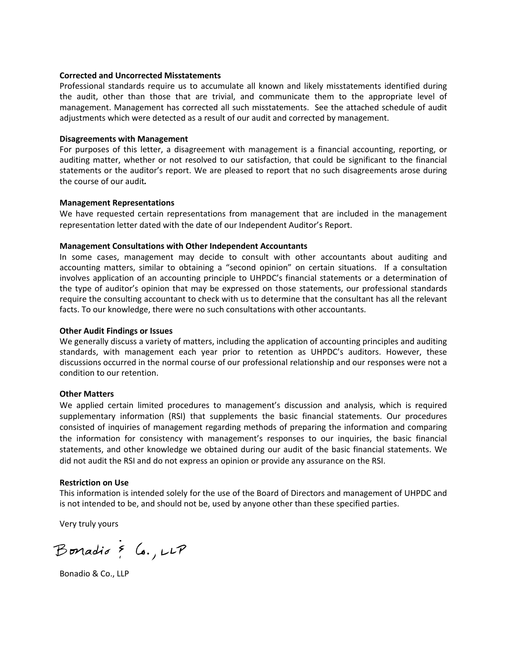### **Corrected and Uncorrected Misstatements**

Professional standards require us to accumulate all known and likely misstatements identified during the audit, other than those that are trivial, and communicate them to the appropriate level of management. Management has corrected all such misstatements. See the attached schedule of audit adjustments which were detected as a result of our audit and corrected by management.

#### **Disagreements with Management**

For purposes of this letter, a disagreement with management is a financial accounting, reporting, or auditing matter, whether or not resolved to our satisfaction, that could be significant to the financial statements or the auditor's report. We are pleased to report that no such disagreements arose during the course of our audit*.*

#### **Management Representations**

We have requested certain representations from management that are included in the management representation letter dated with the date of our Independent Auditor's Report.

#### **Management Consultations with Other Independent Accountants**

In some cases, management may decide to consult with other accountants about auditing and accounting matters, similar to obtaining a "second opinion" on certain situations. If a consultation involves application of an accounting principle to UHPDC's financial statements or a determination of the type of auditor's opinion that may be expressed on those statements, our professional standards require the consulting accountant to check with us to determine that the consultant has all the relevant facts. To our knowledge, there were no such consultations with other accountants.

#### **Other Audit Findings or Issues**

We generally discuss a variety of matters, including the application of accounting principles and auditing standards, with management each year prior to retention as UHPDC's auditors. However, these discussions occurred in the normal course of our professional relationship and our responses were not a condition to our retention.

#### **Other Matters**

We applied certain limited procedures to management's discussion and analysis, which is required supplementary information (RSI) that supplements the basic financial statements. Our procedures consisted of inquiries of management regarding methods of preparing the information and comparing the information for consistency with management's responses to our inquiries, the basic financial statements, and other knowledge we obtained during our audit of the basic financial statements. We did not audit the RSI and do not express an opinion or provide any assurance on the RSI.

#### **Restriction on Use**

This information is intended solely for the use of the Board of Directors and management of UHPDC and is not intended to be, and should not be, used by anyone other than these specified parties.

Very truly yours

Bonadio & Co., LLP

Bonadio & Co., LLP